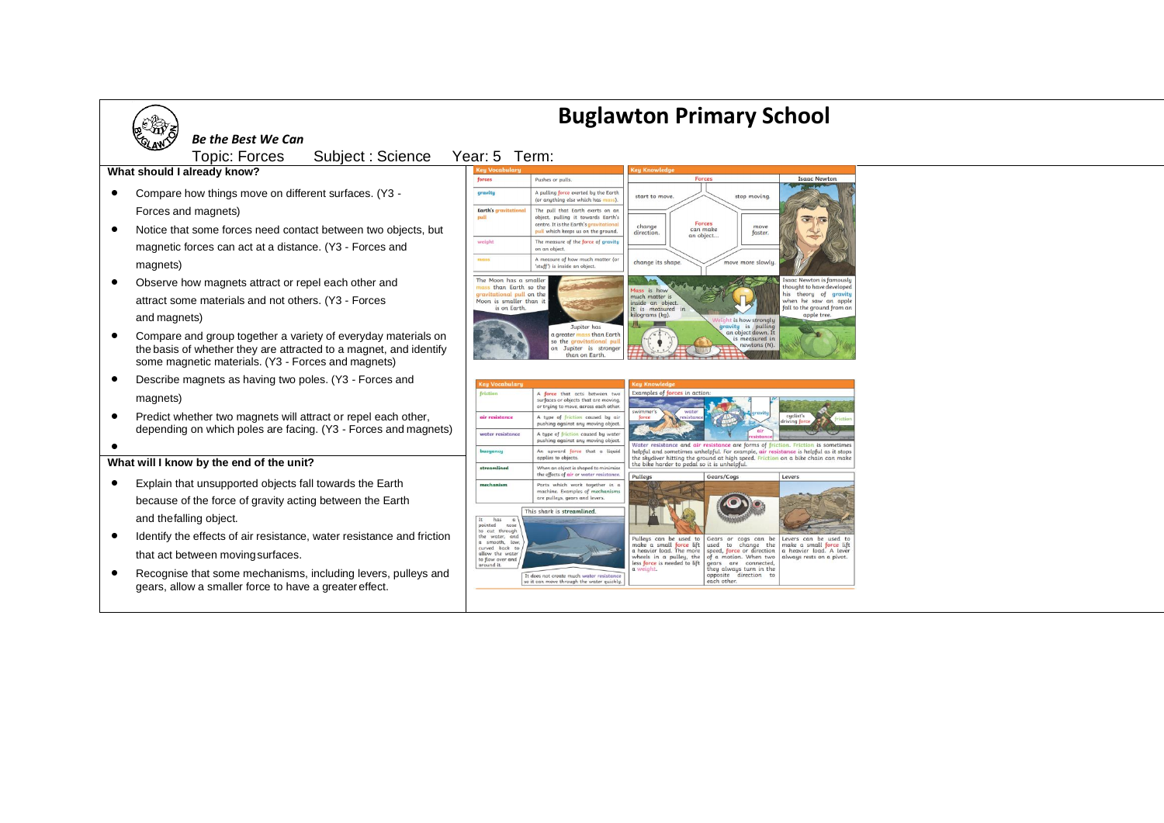